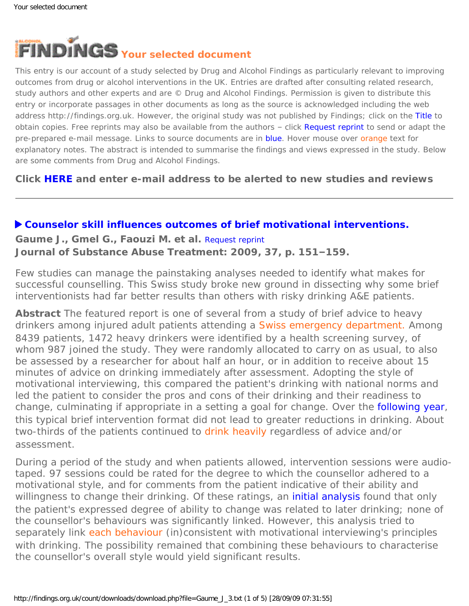<span id="page-0-0"></span>

This entry is our account of a study selected by Drug and Alcohol Findings as particularly relevant to improving outcomes from drug or alcohol interventions in the UK. Entries are drafted after consulting related research, study authors and other experts and are © Drug and Alcohol Findings. Permission is given to distribute this entry or incorporate passages in other documents as long as the source is acknowledged including the web address http://findings.org.uk. However, the original study was not published by Findings; click on the Title to obtain copies. Free reprints may also be available from the authors - click Request reprint to send or adapt the pre-prepared e-mail message. Links to source documents are in blue. Hover mouse over orange text for explanatory notes. The abstract is intended to summarise the findings and views expressed in the study. Below are some comments from Drug and Alcohol Findings.

**Click [HERE](https://findings.org.uk/index.php#signUp) and enter e-mail address to be alerted to new studies and reviews**

# **[Counselor skill influences outcomes of brief motivational interventions.](http://dx.doi.org/10.1016/j.jsat.2008.12.001)**

**Gaume J., Gmel G., Faouzi M. et al.** [Request reprint](mailto:jacques.gaume@chuv.ch?Subject=Reprint%20request&body=Dear Dr Gaume%0A%0AOn the Drug and Alcohol Findings web site (https://findings.org.uk) I read about your article:%0AGaume J., Gmel G., Faouzi M. et al. Counselor skill influences outcomes of brief motivational interventions. Journal of Substance Abuse Treatment: 2009, 37, p. 151-159.%0A%0AWould it be possible to for me to be sent a PDF reprint or the manuscript by return e-mail?%0A) **Journal of Substance Abuse Treatment: 2009, 37, p. 151–159.**

Few studies can manage the painstaking analyses needed to identify what makes for successful counselling. This Swiss study broke new ground in dissecting why some brief interventionists had far better results than others with risky drinking A&E patients.

**Abstract** The featured report is one of several from a study of brief advice to heavy drinkers among injured adult patients attending a [Swiss emergency department.](#page-0-0) Among 8439 patients, 1472 heavy drinkers were identified by a health screening survey, of whom 987 joined the study. They were randomly allocated to carry on as usual, to also be assessed by a researcher for about half an hour, or in addition to receive about 15 minutes of advice on drinking immediately after assessment. Adopting the style of motivational interviewing, this compared the patient's drinking with national norms and led the patient to consider the pros and cons of their drinking and their readiness to change, culminating if appropriate in a setting a goal for change. Over the **following year**, this typical brief intervention format did not lead to greater reductions in drinking. About two-thirds of the patients continued to [drink heavily](#page-0-0) regardless of advice and/or assessment.

During a period of the study and when patients allowed, intervention sessions were audiotaped. 97 sessions could be rated for the degree to which the counsellor adhered to a motivational style, and for comments from the patient indicative of their ability and willingness to change their drinking. Of these ratings, an *[initial analysis](http://dx.doi.org/10.1093/alcalc/agm141)* found that only the patient's expressed degree of ability to change was related to later drinking; none of the counsellor's behaviours was significantly linked. However, this analysis tried to separately link [each behaviour](#page-0-0) (in)consistent with motivational interviewing's principles with drinking. The possibility remained that combining these behaviours to characterise the counsellor's overall style would yield significant results.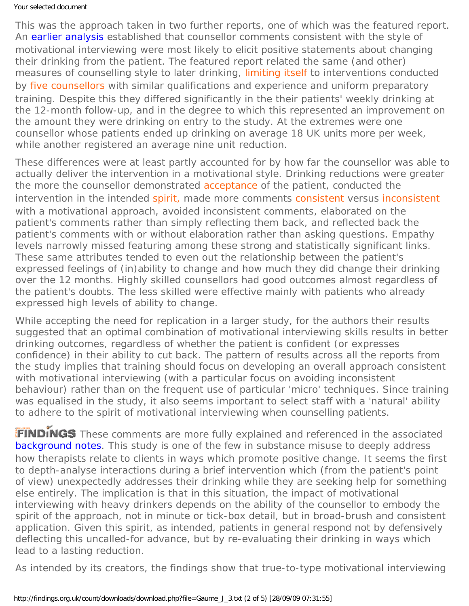## Your selected document

This was the approach taken in two further reports, one of which was the featured report. An [earlier analysis](http://dx.doi.org/10.1111/j.1360-0443.2008.02337.x) established that counsellor comments consistent with the style of motivational interviewing were most likely to elicit positive statements about changing their drinking from the patient. The featured report related the same (and other) measures of counselling style to later drinking, [limiting itself](#page-0-0) to interventions conducted by [five counsellors](#page-0-0) with similar qualifications and experience and uniform preparatory training. Despite this they differed significantly in the their patients' weekly drinking at the 12-month follow-up, and in the degree to which this represented an improvement on the amount they were drinking on entry to the study. At the extremes were one counsellor whose patients ended up drinking on average 18 UK units *more* per week, while another registered an average nine unit reduction.

These differences were at least partly accounted for by how far the counsellor was able to actually deliver the intervention in a motivational style. Drinking reductions were greater the more the counsellor demonstrated [acceptance](#page-0-0) of the patient, conducted the intervention in the intended [spirit,](#page-0-0) made more comments [consistent](#page-0-0) versus [inconsistent](#page-0-0) with a motivational approach, avoided inconsistent comments, elaborated on the patient's comments rather than simply reflecting them back, and reflected back the patient's comments with or without elaboration rather than asking questions. Empathy levels narrowly missed featuring among these strong and statistically significant links. These same attributes tended to even out the relationship between the patient's expressed feelings of (in)ability to change and how much they did change their drinking over the 12 months. Highly skilled counsellors had good outcomes almost regardless of the patient's doubts. The less skilled were effective mainly with patients who already expressed high levels of ability to change.

While accepting the need for replication in a larger study, for the authors their results suggested that an optimal combination of motivational interviewing skills results in better drinking outcomes, regardless of whether the patient is confident (or expresses confidence) in their ability to cut back. The pattern of results across all the reports from the study implies that training should focus on developing an overall approach consistent with motivational interviewing (with a particular focus on avoiding inconsistent behaviour) rather than on the frequent use of particular 'micro' techniques. Since training was equalised in the study, it also seems important to select staff with a 'natural' ability to adhere to the spirit of motivational interviewing when counselling patients.

FINDINGS These comments are more fully explained and referenced in the associated [background notes](https://findings.org.uk/count/downloads/download.php?file=Gaume_J_3_back.htm). This study is one of the few in substance misuse to deeply address how therapists relate to clients in ways which promote positive change. It seems the first to depth-analyse interactions during a brief intervention which (from the patient's point of view) unexpectedly addresses their drinking while they are seeking help for something else entirely. The implication is that in this situation, the impact of motivational interviewing with heavy drinkers depends on the ability of the counsellor to embody the spirit of the approach, not in minute or tick-box detail, but in broad-brush and consistent application. Given this spirit, as intended, patients in general respond not by defensively deflecting this uncalled-for advance, but by re-evaluating their drinking in ways which lead to a lasting reduction.

As intended by its creators, the findings show that true-to-type motivational interviewing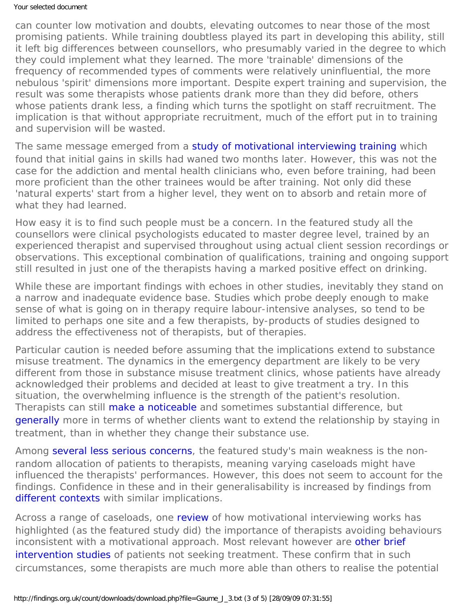#### Your selected document

can counter low motivation and doubts, elevating outcomes to near those of the most promising patients. While training doubtless played its part in developing this ability, still it left big differences between counsellors, who presumably varied in the degree to which they could implement what they learned. The more 'trainable' dimensions of the frequency of recommended types of comments were relatively uninfluential, the more nebulous 'spirit' dimensions more important. Despite expert training and supervision, the result was some therapists whose patients drank more than they did before, others whose patients drank less, a finding which turns the spotlight on staff recruitment. The implication is that without appropriate recruitment, much of the effort put in to training and supervision will be wasted.

The same message emerged from a [study of motivational interviewing training](http://dx.doi.org/10.1016/j.drugalcdep.2003.10.001) which found that initial gains in skills had waned two months later. However, this was not the case for the addiction and mental health clinicians who, even before training, had been more proficient than the other trainees would be after training. Not only did these 'natural experts' start from a higher level, they went on to absorb and retain more of what they had learned.

How easy it is to find such people must be a concern. In the featured study all the counsellors were clinical psychologists educated to master degree level, trained by an experienced therapist and supervised throughout using actual client session recordings or observations. This exceptional combination of qualifications, training and ongoing support still resulted in just one of the therapists having a marked positive effect on drinking.

While these are important findings with echoes in other studies, inevitably they stand on a narrow and inadequate evidence base. Studies which probe deeply enough to make sense of what is going on in therapy require labour-intensive analyses, so tend to be limited to perhaps one site and a few therapists, by-products of studies designed to address the effectiveness not of therapists, but of therapies.

Particular caution is needed before assuming that the implications extend to substance misuse treatment. The dynamics in the emergency department are likely to be very different from those in substance misuse treatment clinics, whose patients have already acknowledged their problems and decided at least to give treatment a try. In this situation, the overwhelming influence is the strength of the patient's resolution. Therapists can still [make a noticeable](http://dx.doi.org/10.1080/10503309812331332527) and sometimes substantial difference, but [generally](http://dx.doi.org/10.1111/j.1360-0443.2004.00935.x) more in terms of whether clients want to extend the relationship by staying in treatment, than in whether they change their substance use.

Among [several less serious concerns](https://findings.org.uk/count/downloads/download.php?file=Gaume_J_3_back.htm#limitations), the featured study's main weakness is the nonrandom allocation of patients to therapists, meaning varying caseloads might have influenced the therapists' performances. However, this does not seem to account for the findings. Confidence in these and in their generalisability is increased by findings from [different contexts](https://findings.org.uk/count/downloads/download.php?file=Gaume_J_3_back.htm#related) with similar implications.

Across a range of caseloads, one [review](http://dx.doi.org/10.1111/j.1360-0443.2009.02527.x) of how motivational interviewing works has highlighted (as the featured study did) the importance of therapists avoiding behaviours inconsistent with a motivational approach. Most relevant however are other brief [intervention studies](https://findings.org.uk/count/downloads/download.php?file=Gaume_J_3_back.htm#related) of patients not seeking treatment. These confirm that in such circumstances, some therapists are much more able than others to realise the potential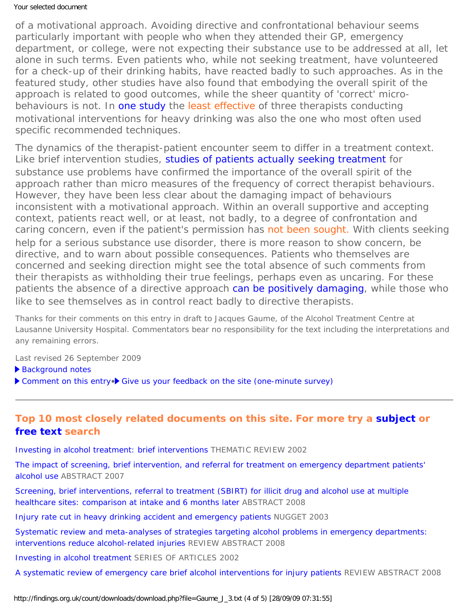### Your selected document

of a motivational approach. Avoiding directive and confrontational behaviour seems particularly important with people who when they attended their GP, emergency department, or college, were not expecting their substance use to be addressed at all, let alone in such terms. Even patients who, while not seeking treatment, have volunteered for a check-up of their drinking habits, have reacted badly to such approaches. As in the featured study, other studies have also found that embodying the overall spirit of the approach is related to good outcomes, while the sheer quantity of 'correct' microbehaviours is not. In [one study](http://dx.doi.org/10.1016/j.addbeh.2006.07.014) the [least effective](#page-0-0) of three therapists conducting motivational interventions for heavy drinking was also the one who *most* often used specific recommended techniques.

The dynamics of the therapist-patient encounter seem to differ in a treatment context. Like brief intervention studies, [studies of patients actually seeking treatment](https://findings.org.uk/count/downloads/download.php?file=Gaume_J_3_back.htm#seeking) for substance use problems have confirmed the importance of the overall spirit of the approach rather than micro measures of the frequency of correct therapist behaviours. However, they have been less clear about the damaging impact of behaviours inconsistent with a motivational approach. Within an overall supportive and accepting context, patients react well, or at least, not badly, to a degree of confrontation and caring concern, even if the patient's permission has [not been sought.](#page-0-0) With clients seeking help for a serious substance use disorder, there is more reason to show concern, be directive, and to warn about possible consequences. Patients who themselves are concerned and seeking direction might see the total absence of such comments from their therapists as withholding their true feelings, perhaps even as uncaring. For these patients the absence of a directive approach [can be positively damaging](https://findings.org.uk/count/downloads/download.php?file=Ashton_M_35.pdf), while those who like to see themselves as in control react badly to directive therapists.

*Thanks for their comments on this entry in draft to Jacques Gaume, of the Alcohol Treatment Centre at*  Lausanne University Hospital. Commentators bear no responsibility for the text including the interpretations and *any remaining errors.*

Last revised 26 September 2009

[Background notes](https://findings.org.uk/count/downloads/download.php?file=Gaume_J_3_back.htm)

▶ [Comment on this entry](mailto:editor@findings.org.uk?Subject=Findings%20entry:%20Counselor%20skill%20influences%20outcomes%20of%20brief%20motivational%20interventions)•▶ [Give us your feedback on the site \(one-minute survey\)](http://www.surveymonkey.com/s.aspx?sm=uLBdmFvYFCjgwOQYnKu_2flA_3d_3d)

# **Top 10 most closely related documents on this site. For more try a [subject](https://findings.org.uk/topic_search.htm) or [free text](https://findings.org.uk/free_search.htm) search**

[Investing in alcohol treatment: brief interventions](https://findings.org.uk/count/downloads/download.php?file=Proudfoot_H_4.pdf) THEMATIC REVIEW 2002

[The impact of screening, brief intervention, and referral for treatment on emergency department patients'](https://findings.org.uk/count/downloads/download.php?file=ED_SBIRT_1.txt)  [alcohol use](https://findings.org.uk/count/downloads/download.php?file=ED_SBIRT_1.txt) ABSTRACT 2007

[Screening, brief interventions, referral to treatment \(SBIRT\) for illicit drug and alcohol use at multiple](https://findings.org.uk/count/downloads/download.php?file=Madras_BK_1.txt) [healthcare sites: comparison at intake and 6 months later](https://findings.org.uk/count/downloads/download.php?file=Madras_BK_1.txt) ABSTRACT 2008

[Injury rate cut in heavy drinking accident and emergency patients](https://findings.org.uk/count/downloads/download.php?file=nug_8_3.pdf) NUGGET 2003

[Systematic review and meta-analyses of strategies targeting alcohol problems in emergency departments:](https://findings.org.uk/count/downloads/download.php?file=Havard_A_2.txt)  [interventions reduce alcohol-related injuries](https://findings.org.uk/count/downloads/download.php?file=Havard_A_2.txt) REVIEW ABSTRACT 2008

[Investing in alcohol treatment](https://findings.org.uk/count/downloads/download.php?file=Proudfoot_H_5.pdf) SERIES OF ARTICLES 2002

[A systematic review of emergency care brief alcohol interventions for injury patients](https://findings.org.uk/count/downloads/download.php?file=Nilsen_P_1.txt) REVIEW ABSTRACT 2008